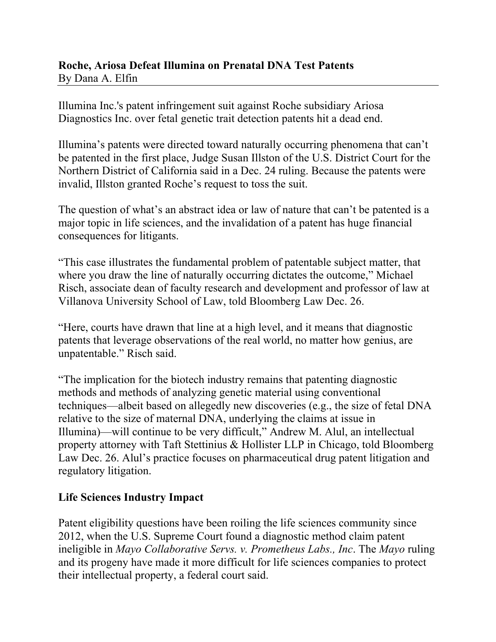## **Roche, Ariosa Defeat Illumina on Prenatal DNA Test Patents**  By Dana A. Elfin

Illumina Inc.'s patent infringement suit against Roche subsidiary Ariosa Diagnostics Inc. over fetal genetic trait detection patents hit a dead end.

Illumina's patents were directed toward naturally occurring phenomena that can't be patented in the first place, Judge Susan Illston of the U.S. District Court for the Northern District of California said in a Dec. 24 ruling. Because the patents were invalid, Illston granted Roche's request to toss the suit.

The question of what's an abstract idea or law of nature that can't be patented is a major topic in life sciences, and the invalidation of a patent has huge financial consequences for litigants.

"This case illustrates the fundamental problem of patentable subject matter, that where you draw the line of naturally occurring dictates the outcome," Michael Risch, associate dean of faculty research and development and professor of law at Villanova University School of Law, told Bloomberg Law Dec. 26.

"Here, courts have drawn that line at a high level, and it means that diagnostic patents that leverage observations of the real world, no matter how genius, are unpatentable." Risch said.

"The implication for the biotech industry remains that patenting diagnostic methods and methods of analyzing genetic material using conventional techniques—albeit based on allegedly new discoveries (e.g., the size of fetal DNA relative to the size of maternal DNA, underlying the claims at issue in Illumina)—will continue to be very difficult," Andrew M. Alul, an intellectual property attorney with Taft Stettinius & Hollister LLP in Chicago, told Bloomberg Law Dec. 26. Alul's practice focuses on pharmaceutical drug patent litigation and regulatory litigation.

## **Life Sciences Industry Impact**

Patent eligibility questions have been roiling the life sciences community since 2012, when the U.S. Supreme Court found a diagnostic method claim patent ineligible in *Mayo Collaborative Servs. v. Prometheus Labs., Inc*. The *Mayo* ruling and its progeny have made it more difficult for life sciences companies to protect their intellectual property, a federal court said.